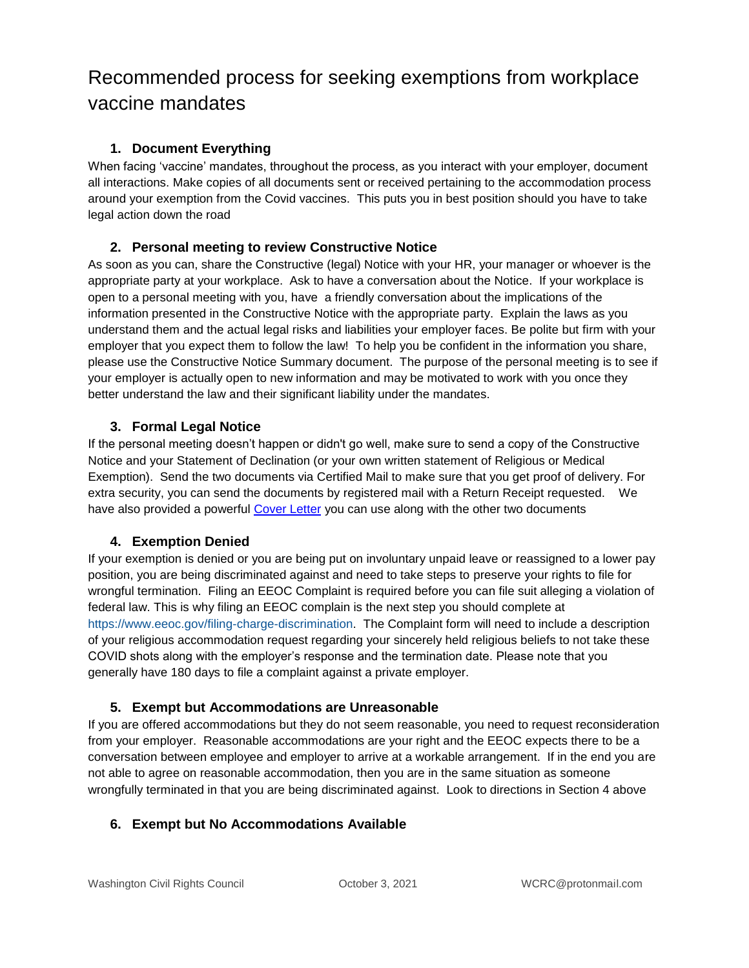## Recommended process for seeking exemptions from workplace vaccine mandates

#### **1. Document Everything**

When facing 'vaccine' mandates, throughout the process, as you interact with your employer, document all interactions. Make copies of all documents sent or received pertaining to the accommodation process around your exemption from the Covid vaccines. This puts you in best position should you have to take legal action down the road

#### **2. Personal meeting to review Constructive Notice**

As soon as you can, share the Constructive (legal) Notice with your HR, your manager or whoever is the appropriate party at your workplace. Ask to have a conversation about the Notice. If your workplace is open to a personal meeting with you, have a friendly conversation about the implications of the information presented in the Constructive Notice with the appropriate party. Explain the laws as you understand them and the actual legal risks and liabilities your employer faces. Be polite but firm with your employer that you expect them to follow the law! To help you be confident in the information you share, please use the Constructive Notice Summary document. The purpose of the personal meeting is to see if your employer is actually open to new information and may be motivated to work with you once they better understand the law and their significant liability under the mandates.

#### **3. Formal Legal Notice**

If the personal meeting doesn't happen or didn't go well, make sure to send a copy of the Constructive Notice and your Statement of Declination (or your own written statement of Religious or Medical Exemption). Send the two documents via Certified Mail to make sure that you get proof of delivery. For extra security, you can send the documents by registered mail with a Return Receipt requested. We have also provided a powerful [Cover Letter](https://wcrc.us/wp-content/uploads/2022/01/CoverLetterforConstructiveNotice.pdf) you can use along with the other two documents

#### **4. Exemption Denied**

If your exemption is denied or you are being put on involuntary unpaid leave or reassigned to a lower pay position, you are being discriminated against and need to take steps to preserve your rights to file for wrongful termination. Filing an EEOC Complaint is required before you can file suit alleging a violation of federal law. This is why filing an EEOC complain is the next step you should complete at [https://www.eeoc.gov/filing-charge-discrimination.](https://www.eeoc.gov/filing-charge-discrimination) The Complaint form will need to include a description of your religious accommodation request regarding your sincerely held religious beliefs to not take these COVID shots along with the employer's response and the termination date. Please note that you generally have 180 days to file a complaint against a private employer.

#### **5. Exempt but Accommodations are Unreasonable**

If you are offered accommodations but they do not seem reasonable, you need to request reconsideration from your employer. Reasonable accommodations are your right and the EEOC expects there to be a conversation between employee and employer to arrive at a workable arrangement. If in the end you are not able to agree on reasonable accommodation, then you are in the same situation as someone wrongfully terminated in that you are being discriminated against. Look to directions in Section 4 above

#### **6. Exempt but No Accommodations Available**